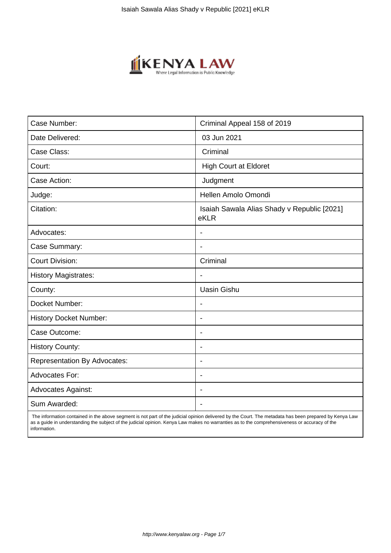

| Case Number:                        | Criminal Appeal 158 of 2019                         |
|-------------------------------------|-----------------------------------------------------|
| Date Delivered:                     | 03 Jun 2021                                         |
| Case Class:                         | Criminal                                            |
| Court:                              | <b>High Court at Eldoret</b>                        |
| Case Action:                        | Judgment                                            |
| Judge:                              | Hellen Amolo Omondi                                 |
| Citation:                           | Isaiah Sawala Alias Shady v Republic [2021]<br>eKLR |
| Advocates:                          |                                                     |
| Case Summary:                       | $\overline{\phantom{a}}$                            |
| <b>Court Division:</b>              | Criminal                                            |
| <b>History Magistrates:</b>         |                                                     |
| County:                             | <b>Uasin Gishu</b>                                  |
| Docket Number:                      |                                                     |
| <b>History Docket Number:</b>       | $\blacksquare$                                      |
| Case Outcome:                       |                                                     |
| <b>History County:</b>              | $\blacksquare$                                      |
| <b>Representation By Advocates:</b> | $\blacksquare$                                      |
| <b>Advocates For:</b>               | $\blacksquare$                                      |
| <b>Advocates Against:</b>           |                                                     |
| Sum Awarded:                        |                                                     |

 The information contained in the above segment is not part of the judicial opinion delivered by the Court. The metadata has been prepared by Kenya Law as a guide in understanding the subject of the judicial opinion. Kenya Law makes no warranties as to the comprehensiveness or accuracy of the information.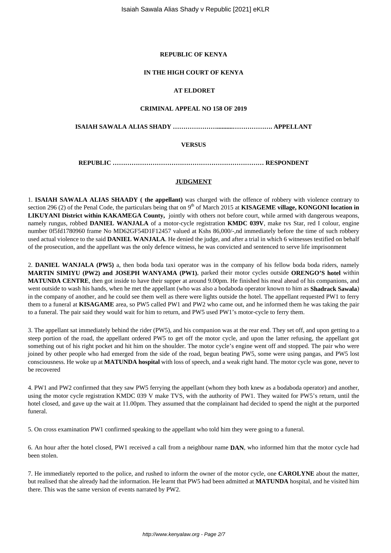# **REPUBLIC OF KENYA**

#### **IN THE HIGH COURT OF KENYA**

# **AT ELDORET**

#### **CRIMINAL APPEAL NO 158 OF 2019**

**ISAIAH SAWALA ALIAS SHADY …………………..........………………. APPELLANT**

# **VERSUS**

**REPUBLIC ……………………………………………………………… RESPONDENT**

# **JUDGMENT**

1. **ISAIAH SAWALA ALIAS SHAADY ( the appellant)** was charged with the offence of robbery with violence contrary to section 296 (2) of the Penal Code, the particulars being that on  $9<sup>th</sup>$  of March 2015 at **KISAGEME village, KONGONI location in LIKUYANI District within KAKAMEGA County,** jointly with others not before court, while armed with dangerous weapons, namely rungus, robbed **DANIEL WANJALA** of a motor-cycle registration **KMDC 039V**, make tvs Star, red I colour, engine number 0f5fd1780960 frame No MD62GF54D1F12457 valued at Kshs 86,000/-,nd immediately before the time of such robbery used actual violence to the said **DANIEL WANJALA**. He denied the judge, and after a trial in which 6 witnesses testified on behalf of the prosecution, and the appellant was the only defence witness, he was convicted and sentenced to serve life imprisonment

2. **DANIEL WANJALA (PW5)** a, then boda boda taxi operator was in the company of his fellow boda boda riders, namely **MARTIN SIMIYU (PW2) and JOSEPH WANYAMA (PW1)**, parked their motor cycles outside **ORENGO'S hotel** within **MATUNDA CENTRE**, then got inside to have their supper at around 9.00pm. He finished his meal ahead of his companions, and went outside to wash his hands, when he met the appellant (who was also a bodaboda operator known to him as **Shadrack Sawala**) in the company of another, and he could see them well as there were lights outside the hotel. The appellant requested PW1 to ferry them to a funeral at **KISAGAME** area, so PW5 called PW1 and PW2 who came out, and he informed them he was taking the pair to a funeral. The pair said they would wait for him to return, and PW5 used PW1's motor-cycle to ferry them.

3. The appellant sat immediately behind the rider (PW5), and his companion was at the rear end. They set off, and upon getting to a steep portion of the road, the appellant ordered PW5 to get off the motor cycle, and upon the latter refusing, the appellant got something out of his right pocket and hit him on the shoulder. The motor cycle's engine went off and stopped. The pair who were joined by other people who had emerged from the side of the road, begun beating PW5, some were using pangas, and PW5 lost consciousness. He woke up at **MATUNDA hospital** with loss of speech, and a weak right hand. The motor cycle was gone, never to be recovered

4. PW1 and PW2 confirmed that they saw PW5 ferrying the appellant (whom they both knew as a bodaboda operator) and another, using the motor cycle registration KMDC 039 V make TVS, with the authority of PW1. They waited for PW5's return, until the hotel closed, and gave up the wait at 11.00pm. They assumed that the complainant had decided to spend the night at the purported funeral.

5. On cross examination PW1 confirmed speaking to the appellant who told him they were going to a funeral.

6. An hour after the hotel closed, PW1 received a call from a neighbour name **DAN**, who informed him that the motor cycle had been stolen.

7. He immediately reported to the police, and rushed to inform the owner of the motor cycle, one **CAROLYNE** about the matter, but realised that she already had the information. He learnt that PW5 had been admitted at **MATUNDA** hospital, and he visited him there. This was the same version of events narrated by PW2.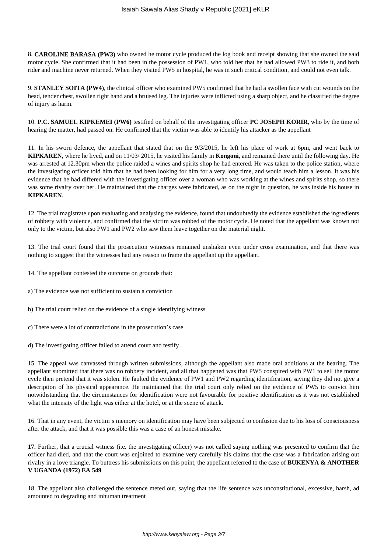8. **CAROLINE BARASA (PW3)** who owned he motor cycle produced the log book and receipt showing that she owned the said motor cycle. She confirmed that it had been in the possession of PW1, who told her that he had allowed PW3 to ride it, and both rider and machine never returned. When they visited PW5 in hospital, he was in such critical condition, and could not even talk.

9. **STANLEY SOITA (PW4)**, the clinical officer who examined PW5 confirmed that he had a swollen face with cut wounds on the head, tender chest, swollen right hand and a bruised leg. The injuries were inflicted using a sharp object, and he classified the degree of injury as harm.

10. **P.C. SAMUEL KIPKEMEI (PW6)** testified on behalf of the investigating officer **PC JOSEPH KORIR**, who by the time of hearing the matter, had passed on. He confirmed that the victim was able to identify his attacker as the appellant

11. In his sworn defence, the appellant that stated that on the 9/3/2015, he left his place of work at 6pm, and went back to **KIPKAREN**, where he lived, and on 11/03/ 2015, he visited his family in **Kongoni**, and remained there until the following day. He was arrested at 12.30pm when the police raided a wines and spirits shop he had entered. He was taken to the police station, where the investigating officer told him that he had been looking for him for a very long time, and would teach him a lesson. It was his evidence that he had differed with the investigating officer over a woman who was working at the wines and spirits shop, so there was some rivalry over her. He maintained that the charges were fabricated, as on the night in question, he was inside his house in **KIPKAREN**.

12. The trial magistrate upon evaluating and analysing the evidence, found that undoubtedly the evidence established the ingredients of robbery with violence, and confirmed that the victim was robbed of the motor cycle. He noted that the appellant was known not only to the victim, but also PW1 and PW2 who saw them leave together on the material night.

13. The trial court found that the prosecution witnesses remained unshaken even under cross examination, and that there was nothing to suggest that the witnesses had any reason to frame the appellant up the appellant.

- 14. The appellant contested the outcome on grounds that:
- a) The evidence was not sufficient to sustain a conviction
- b) The trial court relied on the evidence of a single identifying witness
- c) There were a lot of contradictions in the prosecution's case
- d) The investigating officer failed to attend court and testify

15. The appeal was canvassed through written submissions, although the appellant also made oral additions at the hearing. The appellant submitted that there was no robbery incident, and all that happened was that PW5 conspired with PW1 to sell the motor cycle then pretend that it was stolen. He faulted the evidence of PW1 and PW2 regarding identification, saying they did not give a description of his physical appearance. He maintained that the trial court only relied on the evidence of PW5 to convict him notwithstanding that the circumstances for identification were not favourable for positive identification as it was not established what the intensity of the light was either at the hotel, or at the scene of attack.

16. That in any event, the victim's memory on identification may have been subjected to confusion due to his loss of consciousness after the attack, and that it was possible this was a case of an honest mistake.

**17.** Further, that a crucial witness (i.e. the investigating officer) was not called saying nothing was presented to confirm that the officer had died, and that the court was enjoined to examine very carefully his claims that the case was a fabrication arising out rivalry in a love triangle. To buttress his submissions on this point, the appellant referred to the case of **BUKENYA & ANOTHER V UGANDA (1972) EA 549** 

18. The appellant also challenged the sentence meted out, saying that the life sentence was unconstitutional, excessive, harsh, ad amounted to degrading and inhuman treatment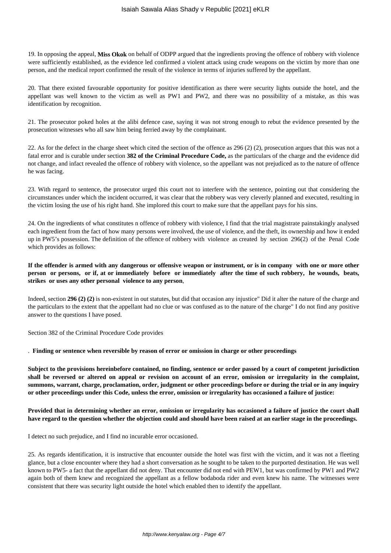19. In opposing the appeal, **Miss Okok** on behalf of ODPP argued that the ingredients proving the offence of robbery with violence were sufficiently established, as the evidence led confirmed a violent attack using crude weapons on the victim by more than one person, and the medical report confirmed the result of the violence in terms of injuries suffered by the appellant.

20. That there existed favourable opportunity for positive identification as there were security lights outside the hotel, and the appellant was well known to the victim as well as PW1 and PW2, and there was no possibility of a mistake, as this was identification by recognition.

21. The prosecutor poked holes at the alibi defence case, saying it was not strong enough to rebut the evidence presented by the prosecution witnesses who all saw him being ferried away by the complainant.

22. As for the defect in the charge sheet which cited the section of the offence as 296 (2) (2), prosecution argues that this was not a fatal error and is curable under section **382 of the Criminal Procedure Code,** as the particulars of the charge and the evidence did not change, and infact revealed the offence of robbery with violence, so the appellant was not prejudiced as to the nature of offence he was facing.

23. With regard to sentence, the prosecutor urged this court not to interfere with the sentence, pointing out that considering the circumstances under which the incident occurred, it was clear that the robbery was very cleverly planned and executed, resulting in the victim losing the use of his right hand. She implored this court to make sure that the appellant pays for his sins.

24. On the ingredients of what constitutes n offence of robbery with violence, I find that the trial magistrate painstakingly analysed each ingredient from the fact of how many persons were involved, the use of violence, and the theft, its ownership and how it ended up in PW5's possession. The definition of the offence of robbery with violence as created by section 296(2) of the Penal Code which provides as follows:

# **If the offender is armed with any dangerous or offensive weapon or instrument, or is in company with one or more other person or persons, or if, at or immediately before or immediately after the time of such robbery, he wounds, beats, strikes or uses any other personal violence to any person**,

Indeed, section **296 (2) (2)** is non-existent in out statutes, but did that occasion any injustice" Did it alter the nature of the charge and the particulars to the extent that the appellant had no clue or was confused as to the nature of the charge" I do not find any positive answer to the questions I have posed.

Section 382 of the Criminal Procedure Code provides

#### . **Finding or sentence when reversible by reason of error or omission in charge or other proceedings**

**Subject to the provisions hereinbefore contained, no finding, sentence or order passed by a court of competent jurisdiction shall be reversed or altered on appeal or revision on account of an error, omission or irregularity in the complaint, summons, warrant, charge, proclamation, order, judgment or other proceedings before or during the trial or in any inquiry or other proceedings under this Code, unless the error, omission or irregularity has occasioned a failure of justice:**

**Provided that in determining whether an error, omission or irregularity has occasioned a failure of justice the court shall have regard to the question whether the objection could and should have been raised at an earlier stage in the proceedings.**

I detect no such prejudice, and I find no incurable error occasioned.

25. As regards identification, it is instructive that encounter outside the hotel was first with the victim, and it was not a fleeting glance, but a close encounter where they had a short conversation as he sought to be taken to the purported destination. He was well known to PW5- a fact that the appellant did not deny. That encounter did not end with PEW1, but was confirmed by PW1 and PW2 again both of them knew and recognized the appellant as a fellow bodaboda rider and even knew his name. The witnesses were consistent that there was security light outside the hotel which enabled then to identify the appellant.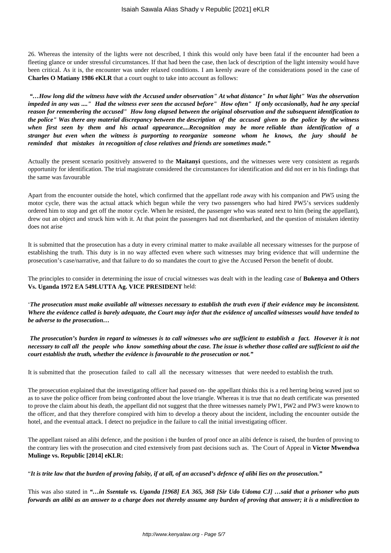26. Whereas the intensity of the lights were not described, I think this would only have been fatal if the encounter had been a fleeting glance or under stressful circumstances. If that had been the case, then lack of description of the light intensity would have been critical. As it is, the encounter was under relaxed conditions. I am keenly aware of the considerations posed in the case of **Charles O Matiany 1986 eKLR** that a court ought to take into account as follows:

*"…How long did the witness have with the Accused under observation" At what distance" In what light" Was the observation impeded in any was ...." Had the witness ever seen the accused before" How often" If only occasionally, had he any special reason for remembering the accused" How long elapsed between the original observation and the subsequent identification to the police" Was there any material discrepancy between the description of the accused given to the police by the witness when first seen by them and his actual appearance....Recognition may be more reliable than identification of a stranger but even when the witness is purporting to reorganize someone whom he knows, the jury should be reminded that mistakes in recognition of close relatives and friends are sometimes made."*

Actually the present scenario positively answered to the **Maitanyi** questions, and the witnesses were very consistent as regards opportunity for identification. The trial magistrate considered the circumstances for identification and did not err in his findings that the same was favourable

Apart from the encounter outside the hotel, which confirmed that the appellant rode away with his companion and PW5 using the motor cycle, there was the actual attack which begun while the very two passengers who had hired PW5's services suddenly ordered him to stop and get off the motor cycle. When he resisted, the passenger who was seated next to him (being the appellant), drew out an object and struck him with it. At that point the passengers had not disembarked, and the question of mistaken identity does not arise

It is submitted that the prosecution has a duty in every criminal matter to make available all necessary witnesses for the purpose of establishing the truth. This duty is in no way affected even where such witnesses may bring evidence that will undermine the prosecution's case/narrative, and that failure to do so mandates the court to give the Accused Person the benefit of doubt.

The principles to consider in determining the issue of crucial witnesses was dealt with in the leading case of **Bukenya and Others Vs. Uganda 1972 EA 549LUTTA Ag. VICE PRESIDENT** held:

'*The prosecution must make available all witnesses necessary to establish the truth even if their evidence may be inconsistent. Where the evidence called is barely adequate, the Court may infer that the evidence of uncalled witnesses would have tended to be adverse to the prosecution…*

*The prosecution's burden in regard to witnesses is to call witnesses who are sufficient to establish a fact. However it is not necessary to call all the people who know something about the case. The issue is whether those called are sufficient to aid the court establish the truth, whether the evidence is favourable to the prosecution or not."*

It is submitted that the prosecution failed to call all the necessary witnesses that were needed to establish the truth.

The prosecution explained that the investigating officer had passed on- the appellant thinks this is a red herring being waved just so as to save the police officer from being confronted about the love triangle. Whereas it is true that no death certificate was presented to prove the claim about his death, the appellant did not suggest that the three witnesses namely PW1, PW2 and PW3 were known to the officer, and that they therefore conspired with him to develop a theory about the incident, including the encounter outside the hotel, and the eventual attack. I detect no prejudice in the failure to call the initial investigating officer.

The appellant raised an alibi defence, and the position i the burden of proof once an alibi defence is raised, the burden of proving to the contrary lies with the prosecution and cited extensively from past decisions such as. The Court of Appeal in **Victor Mwendwa Mulinge vs. Republic [2014] eKLR:**

"*It is trite law that the burden of proving falsity, if at all, of an accused's defence of alibi lies on the prosecution."*

This was also stated in *"…in Ssentale vs. Uganda [1968] EA 365, 368 [Sir Udo Udoma CJ] …said that a prisoner who puts forwards an alibi as an answer to a charge does not thereby assume any burden of proving that answer; it is a misdirection to*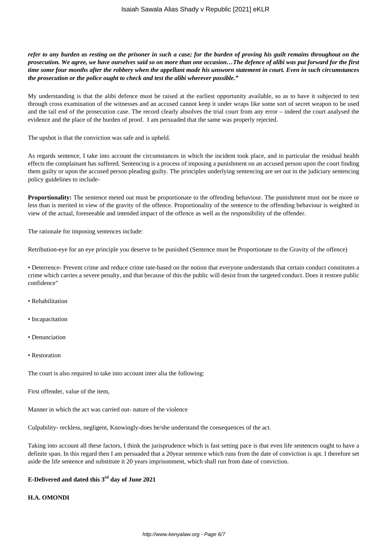*refer to any burden as resting on the prisoner in such a case; for the burden of proving his guilt remains throughout on the prosecution. We agree, we have ourselves said so on more than one occasion…The defence of alibi was put forward for the first time some four months after the robbery when the appellant made his unsworn statement in court. Even in such circumstances the prosecution or the police ought to check and test the alibi wherever possible."*

My understanding is that the alibi defence must be raised at the earliest opportunity available, so as to have it subjected to test through cross examination of the witnesses and an accused cannot keep it under wraps like some sort of secret weapon to be used and the tail end of the prosecution case. The record clearly absolves the trial court from any error – indeed the court analysed the evidence and the place of the burden of proof. I am persuaded that the same was properly rejected.

The upshot is that the conviction was safe and is upheld.

As regards sentence, I take into account the circumstances in which the incident took place, and in particular the residual health effects the complainant has suffered. Sentencing is a process of imposing a punishment on an accused person upon the court finding them guilty or upon the accused person pleading guilty. The principles underlying sentencing are set out in the judiciary sentencing policy guidelines to include-

**Proportionality:** The sentence meted out must be proportionate to the offending behaviour. The punishment must not be more or less than is merited in view of the gravity of the offence. Proportionality of the sentence to the offending behaviour is weighted in view of the actual, foreseeable and intended impact of the offence as well as the responsibility of the offender.

The rationale for imposing sentences include:

Retribution-eye for an eye principle you deserve to be punished (Sentence must be Proportionate to the Gravity of the offence)

• Deterrence- Prevent crime and reduce crime rate-based on the notion that everyone understands that certain conduct constitutes a crime which carries a severe penalty, and that because of this the public will desist from the targeted conduct. Does it restore public confidence"

- Rehabilitation
- Incapacitation
- Denunciation
- Restoration

The court is also required to take into account inter alia the following:

First offender, value of the item,

Manner in which the act was carried out- nature of the violence

Culpability- reckless, negligent, Knowingly-does he/she understand the consequences of the act.

Taking into account all these factors, I think the jurisprudence which is fast setting pace is that even life sentences ought to have a definite span. In this regard then I am persuaded that a 20year sentence which runs from the date of conviction is apt. I therefore set aside the life sentence and substitute it 20 years imprisonment, which shall run from date of conviction.

# **E-Delivered and dated this 3rd day of June 2021**

#### **H.A. OMONDI**